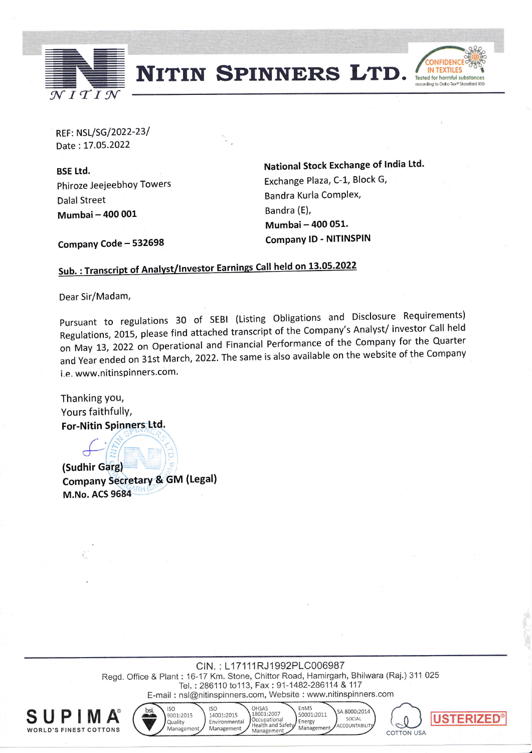

**NITIN SPINNERS LTD.** 



REF: NSL/SG/2022-23/ Date: L7.05.2022

BSE Ltd. Phiroze Jeejeebhoy Towers Dalal Street Mumbai- 400 001

National Stock Exchange of India Ltd. Exchange Plaza, C-L, Block G, Bandra Kurla Complex, Bandra (E), Mumbai- 400 051. Company lD - NITINSPIN

Company Code - 532698

## Sub.: Transcript of Analyst/Investor Earnings Call held on 13.05.2022

Dear Sir/Madam,

pursuant to regulations 3O of sEBl (Listing obligations and Disclosure Requirements) arbaant to regern and attached transcript of the Company's Analyst/investor Call held<br>Regulations, 2015, please find attached transcript of the Company for the Quarter on May L3, 2O2Z on Operational and Financial Performance of the Company for the Quarter and Year ended on 31st March, 2022. The same is also available on the website of the Company i.e. www.nitinspinners.com.

Thanking you, Yours faithfullY, **For-Nitin Spinners Ltd.** 

Company Secretary & GM (Legal) (Sudhir **M.No. ACS 9684** 

> Regd. Office & Plant : 16-17 Km. Stone, Chittor Road, Hamirgarh, Bhilwara (Raj.) 311 025 CIN.: L17111RJ1992PLC006987 Tel.: 286110 to113, Fax: 91-1482-286114 & 117 E-mail : nsl@nitinspinners.com, Website : www.nitinspinners com





 $\begin{bmatrix} 2014 \\ 681117 \end{bmatrix}$ **USTERIZED** COTTON USA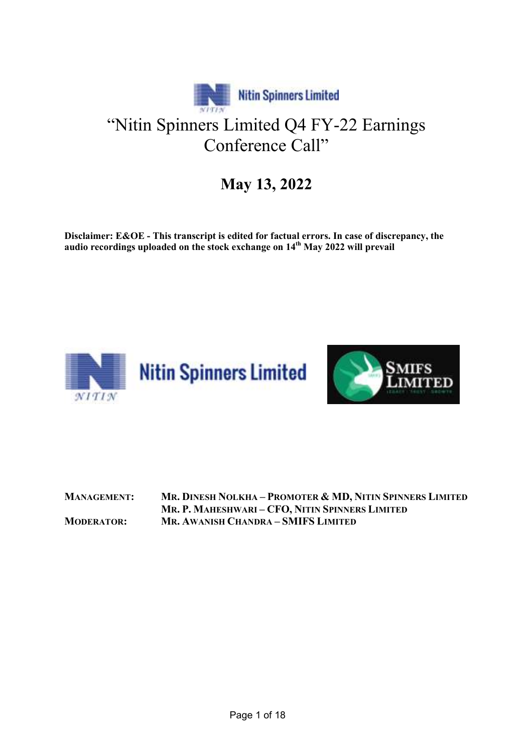

## May 13, 2022

Disclaimer: E&OE - This transcript is edited for factual errors. In case of discrepancy, the audio recordings uploaded on the stock exchange on  $14<sup>th</sup>$  May 2022 will prevail





MANAGEMENT: MR. DINESH NOLKHA – PROMOTER & MD, NITIN SPINNERS LIMITED MR. P. MAHESHWARI – CFO, NITIN SPINNERS LIMITED MODERATOR: MR. AWANISH CHANDRA – SMIFS LIMITED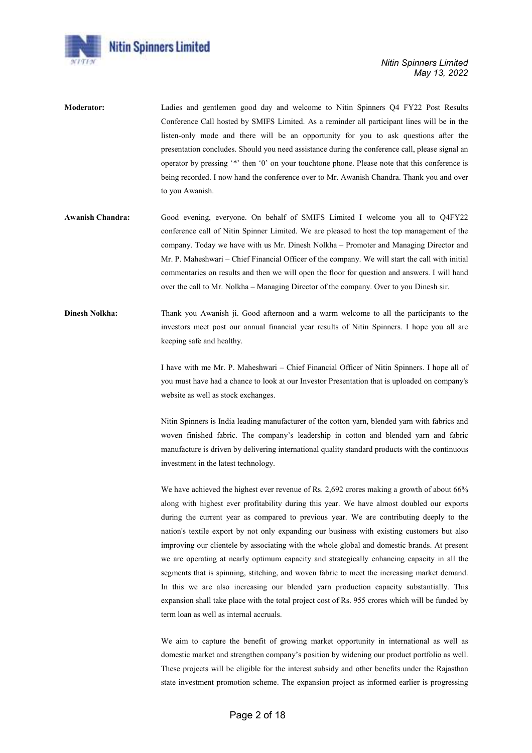

- Moderator: Ladies and gentlemen good day and welcome to Nitin Spinners Q4 FY22 Post Results Conference Call hosted by SMIFS Limited. As a reminder all participant lines will be in the listen-only mode and there will be an opportunity for you to ask questions after the presentation concludes. Should you need assistance during the conference call, please signal an operator by pressing '\*' then '0' on your touchtone phone. Please note that this conference is being recorded. I now hand the conference over to Mr. Awanish Chandra. Thank you and over to you Awanish.
- Awanish Chandra: Good evening, everyone. On behalf of SMIFS Limited I welcome you all to Q4FY22 conference call of Nitin Spinner Limited. We are pleased to host the top management of the company. Today we have with us Mr. Dinesh Nolkha – Promoter and Managing Director and Mr. P. Maheshwari – Chief Financial Officer of the company. We will start the call with initial commentaries on results and then we will open the floor for question and answers. I will hand over the call to Mr. Nolkha – Managing Director of the company. Over to you Dinesh sir.
- Dinesh Nolkha: Thank you Awanish ji. Good afternoon and a warm welcome to all the participants to the investors meet post our annual financial year results of Nitin Spinners. I hope you all are keeping safe and healthy.

I have with me Mr. P. Maheshwari – Chief Financial Officer of Nitin Spinners. I hope all of you must have had a chance to look at our Investor Presentation that is uploaded on company's website as well as stock exchanges.

Nitin Spinners is India leading manufacturer of the cotton yarn, blended yarn with fabrics and woven finished fabric. The company's leadership in cotton and blended yarn and fabric manufacture is driven by delivering international quality standard products with the continuous investment in the latest technology.

We have achieved the highest ever revenue of Rs. 2,692 crores making a growth of about 66% along with highest ever profitability during this year. We have almost doubled our exports during the current year as compared to previous year. We are contributing deeply to the nation's textile export by not only expanding our business with existing customers but also improving our clientele by associating with the whole global and domestic brands. At present we are operating at nearly optimum capacity and strategically enhancing capacity in all the segments that is spinning, stitching, and woven fabric to meet the increasing market demand. In this we are also increasing our blended yarn production capacity substantially. This expansion shall take place with the total project cost of Rs. 955 crores which will be funded by term loan as well as internal accruals.

We aim to capture the benefit of growing market opportunity in international as well as domestic market and strengthen company's position by widening our product portfolio as well. These projects will be eligible for the interest subsidy and other benefits under the Rajasthan state investment promotion scheme. The expansion project as informed earlier is progressing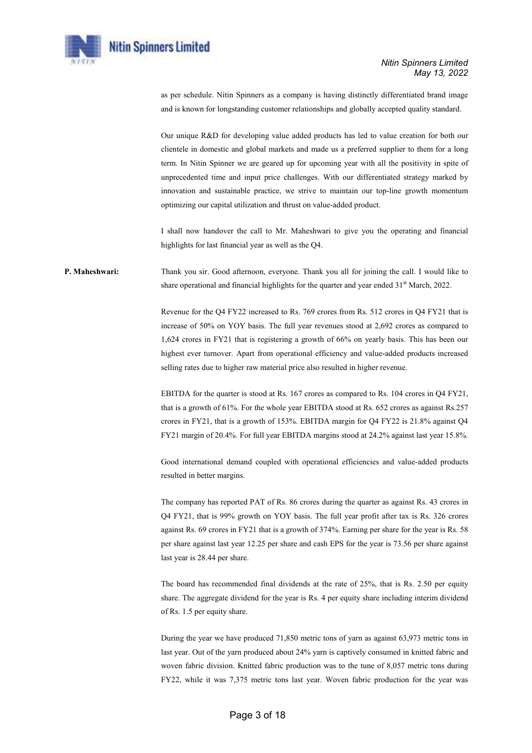

as per schedule. Nitin Spinners as a company is having distinctly differentiated brand image and is known for longstanding customer relationships and globally accepted quality standard.

Our unique R&D for developing value added products has led to value creation for both our clientele in domestic and global markets and made us a preferred supplier to them for a long term. In Nitin Spinner we are geared up for upcoming year with all the positivity in spite of unprecedented time and input price challenges. With our differentiated strategy marked by innovation and sustainable practice, we strive to maintain our top-line growth momentum optimizing our capital utilization and thrust on value-added product.

I shall now handover the call to Mr. Maheshwari to give you the operating and financial highlights for last financial year as well as the Q4.

P. Maheshwari: Thank you sir. Good afternoon, everyone. Thank you all for joining the call. I would like to share operational and financial highlights for the quarter and year ended  $31<sup>st</sup>$  March, 2022.

> Revenue for the Q4 FY22 increased to Rs. 769 crores from Rs. 512 crores in Q4 FY21 that is increase of 50% on YOY basis. The full year revenues stood at 2,692 crores as compared to 1,624 crores in FY21 that is registering a growth of 66% on yearly basis. This has been our highest ever turnover. Apart from operational efficiency and value-added products increased selling rates due to higher raw material price also resulted in higher revenue.

> EBITDA for the quarter is stood at Rs. 167 crores as compared to Rs. 104 crores in Q4 FY21, that is a growth of 61%. For the whole year EBITDA stood at Rs. 652 crores as against Rs.257 crores in FY21, that is a growth of 153%. EBITDA margin for Q4 FY22 is 21.8% against Q4 FY21 margin of 20.4%. For full year EBITDA margins stood at 24.2% against last year 15.8%.

> Good international demand coupled with operational efficiencies and value-added products resulted in better margins.

> The company has reported PAT of Rs. 86 crores during the quarter as against Rs. 43 crores in Q4 FY21, that is 99% growth on YOY basis. The full year profit after tax is Rs. 326 crores against Rs. 69 crores in FY21 that is a growth of 374%. Earning per share for the year is Rs. 58 per share against last year 12.25 per share and cash EPS for the year is 73.56 per share against last year is 28.44 per share.

> The board has recommended final dividends at the rate of 25%, that is Rs. 2.50 per equity share. The aggregate dividend for the year is Rs. 4 per equity share including interim dividend of Rs. 1.5 per equity share.

> During the year we have produced 71,850 metric tons of yarn as against 63,973 metric tons in last year. Out of the yarn produced about 24% yarn is captively consumed in knitted fabric and woven fabric division. Knitted fabric production was to the tune of 8,057 metric tons during FY22, while it was 7,375 metric tons last year. Woven fabric production for the year was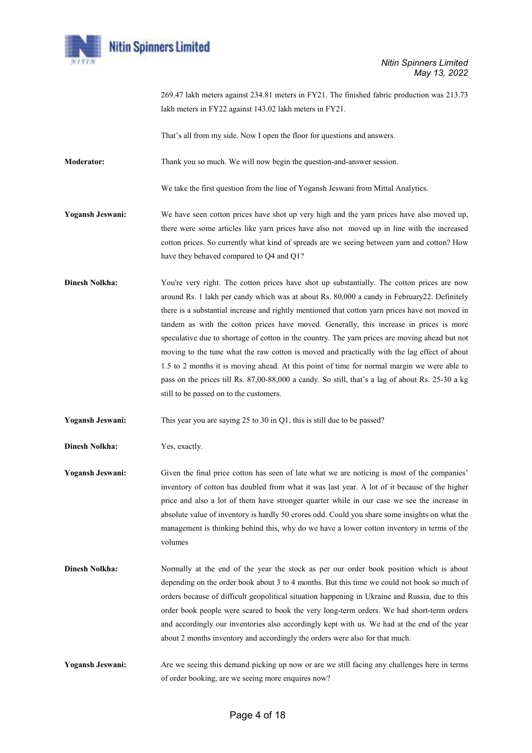

269.47 lakh meters against 234.81 meters in FY21. The finished fabric production was 213.73 lakh meters in FY22 against 143.02 lakh meters in FY21.

That's all from my side. Now I open the floor for questions and answers.

Moderator: Thank you so much. We will now begin the question-and-answer session.

We take the first question from the line of Yogansh Jeswani from Mittal Analytics.

- Yogansh Jeswani: We have seen cotton prices have shot up very high and the yarn prices have also moved up, there were some articles like yarn prices have also not moved up in line with the increased cotton prices. So currently what kind of spreads are we seeing between yarn and cotton? How have they behaved compared to Q4 and Q1?
- **Dinesh Nolkha:** You're very right. The cotton prices have shot up substantially. The cotton prices are now around Rs. 1 lakh per candy which was at about Rs. 80,000 a candy in February22. Definitely there is a substantial increase and rightly mentioned that cotton yarn prices have not moved in tandem as with the cotton prices have moved. Generally, this increase in prices is more speculative due to shortage of cotton in the country. The yarn prices are moving ahead but not moving to the tune what the raw cotton is moved and practically with the lag effect of about 1.5 to 2 months it is moving ahead. At this point of time for normal margin we were able to pass on the prices till Rs. 87,00-88,000 a candy. So still, that's a lag of about Rs. 25-30 a kg still to be passed on to the customers.

Yogansh Jeswani: This year you are saying 25 to 30 in Q1, this is still due to be passed?

Dinesh Nolkha: Yes, exactly.

Yogansh Jeswani: Given the final price cotton has seen of late what we are noticing is most of the companies' inventory of cotton has doubled from what it was last year. A lot of it because of the higher price and also a lot of them have stronger quarter while in our case we see the increase in absolute value of inventory is hardly 50 crores odd. Could you share some insights on what the management is thinking behind this, why do we have a lower cotton inventory in terms of the volumes

- Dinesh Nolkha: Normally at the end of the year the stock as per our order book position which is about depending on the order book about 3 to 4 months. But this time we could not book so much of orders because of difficult geopolitical situation happening in Ukraine and Russia, due to this order book people were scared to book the very long-term orders. We had short-term orders and accordingly our inventories also accordingly kept with us. We had at the end of the year about 2 months inventory and accordingly the orders were also for that much.
- Yogansh Jeswani: Are we seeing this demand picking up now or are we still facing any challenges here in terms of order booking, are we seeing more enquires now?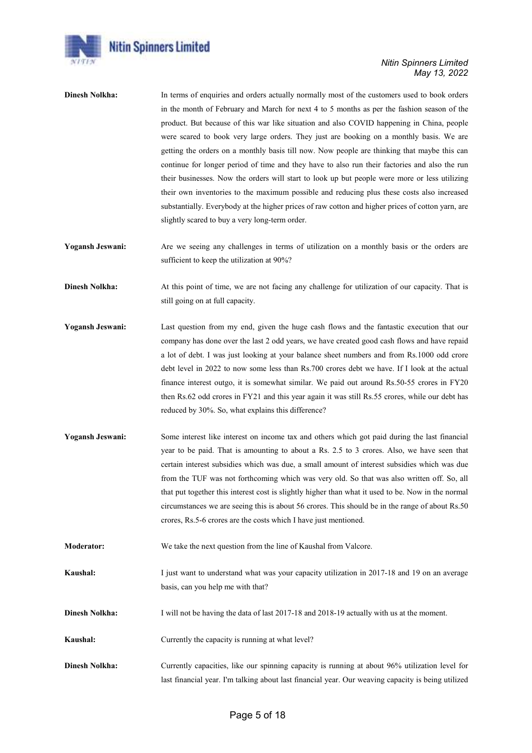

- Dinesh Nolkha: In terms of enquiries and orders actually normally most of the customers used to book orders in the month of February and March for next 4 to 5 months as per the fashion season of the product. But because of this war like situation and also COVID happening in China, people were scared to book very large orders. They just are booking on a monthly basis. We are getting the orders on a monthly basis till now. Now people are thinking that maybe this can continue for longer period of time and they have to also run their factories and also the run their businesses. Now the orders will start to look up but people were more or less utilizing their own inventories to the maximum possible and reducing plus these costs also increased substantially. Everybody at the higher prices of raw cotton and higher prices of cotton yarn, are slightly scared to buy a very long-term order.
- Yogansh Jeswani: Are we seeing any challenges in terms of utilization on a monthly basis or the orders are sufficient to keep the utilization at 90%?
- Dinesh Nolkha: At this point of time, we are not facing any challenge for utilization of our capacity. That is still going on at full capacity.
- Yogansh Jeswani: Last question from my end, given the huge cash flows and the fantastic execution that our company has done over the last 2 odd years, we have created good cash flows and have repaid a lot of debt. I was just looking at your balance sheet numbers and from Rs.1000 odd crore debt level in 2022 to now some less than Rs.700 crores debt we have. If I look at the actual finance interest outgo, it is somewhat similar. We paid out around Rs.50-55 crores in FY20 then Rs.62 odd crores in FY21 and this year again it was still Rs.55 crores, while our debt has reduced by 30%. So, what explains this difference?
- Yogansh Jeswani: Some interest like interest on income tax and others which got paid during the last financial year to be paid. That is amounting to about a Rs. 2.5 to 3 crores. Also, we have seen that certain interest subsidies which was due, a small amount of interest subsidies which was due from the TUF was not forthcoming which was very old. So that was also written off. So, all that put together this interest cost is slightly higher than what it used to be. Now in the normal circumstances we are seeing this is about 56 crores. This should be in the range of about Rs.50 crores, Rs.5-6 crores are the costs which I have just mentioned.
- Moderator: We take the next question from the line of Kaushal from Valcore.
- Kaushal: I just want to understand what was your capacity utilization in 2017-18 and 19 on an average basis, can you help me with that?
- Dinesh Nolkha: I will not be having the data of last 2017-18 and 2018-19 actually with us at the moment.
- Kaushal: Currently the capacity is running at what level?
- Dinesh Nolkha: Currently capacities, like our spinning capacity is running at about 96% utilization level for last financial year. I'm talking about last financial year. Our weaving capacity is being utilized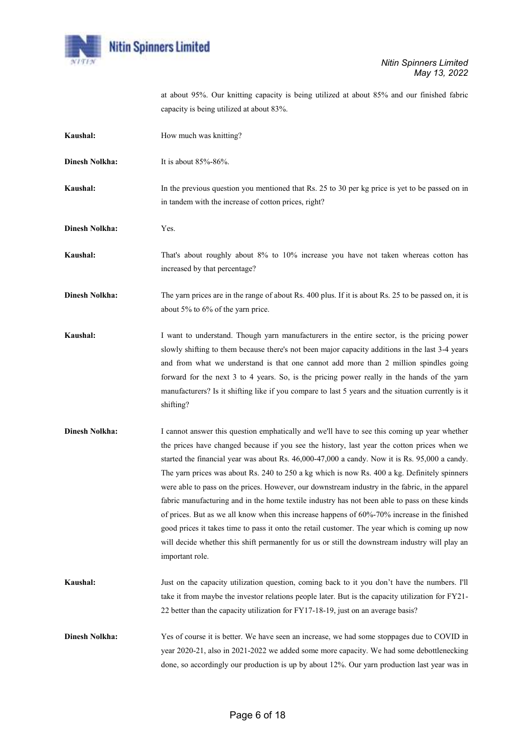

at about 95%. Our knitting capacity is being utilized at about 85% and our finished fabric capacity is being utilized at about 83%.

| Kaushal:              | How much was knitting?                                                                                                                                                                                                                                                                                                                                                                                                                                                                                                                                                                                                                                                                                                                                                                                                                                                                                                        |
|-----------------------|-------------------------------------------------------------------------------------------------------------------------------------------------------------------------------------------------------------------------------------------------------------------------------------------------------------------------------------------------------------------------------------------------------------------------------------------------------------------------------------------------------------------------------------------------------------------------------------------------------------------------------------------------------------------------------------------------------------------------------------------------------------------------------------------------------------------------------------------------------------------------------------------------------------------------------|
| <b>Dinesh Nolkha:</b> | It is about 85%-86%.                                                                                                                                                                                                                                                                                                                                                                                                                                                                                                                                                                                                                                                                                                                                                                                                                                                                                                          |
| Kaushal:              | In the previous question you mentioned that Rs. 25 to 30 per kg price is yet to be passed on in<br>in tandem with the increase of cotton prices, right?                                                                                                                                                                                                                                                                                                                                                                                                                                                                                                                                                                                                                                                                                                                                                                       |
| <b>Dinesh Nolkha:</b> | Yes.                                                                                                                                                                                                                                                                                                                                                                                                                                                                                                                                                                                                                                                                                                                                                                                                                                                                                                                          |
| Kaushal:              | That's about roughly about 8% to 10% increase you have not taken whereas cotton has<br>increased by that percentage?                                                                                                                                                                                                                                                                                                                                                                                                                                                                                                                                                                                                                                                                                                                                                                                                          |
| <b>Dinesh Nolkha:</b> | The yarn prices are in the range of about Rs. 400 plus. If it is about Rs. 25 to be passed on, it is<br>about 5% to 6% of the yarn price.                                                                                                                                                                                                                                                                                                                                                                                                                                                                                                                                                                                                                                                                                                                                                                                     |
| Kaushal:              | I want to understand. Though yarn manufacturers in the entire sector, is the pricing power<br>slowly shifting to them because there's not been major capacity additions in the last 3-4 years<br>and from what we understand is that one cannot add more than 2 million spindles going<br>forward for the next 3 to 4 years. So, is the pricing power really in the hands of the yarn<br>manufacturers? Is it shifting like if you compare to last 5 years and the situation currently is it<br>shifting?                                                                                                                                                                                                                                                                                                                                                                                                                     |
| <b>Dinesh Nolkha:</b> | I cannot answer this question emphatically and we'll have to see this coming up year whether<br>the prices have changed because if you see the history, last year the cotton prices when we<br>started the financial year was about Rs. 46,000-47,000 a candy. Now it is Rs. 95,000 a candy.<br>The yarn prices was about Rs. 240 to 250 a kg which is now Rs. 400 a kg. Definitely spinners<br>were able to pass on the prices. However, our downstream industry in the fabric, in the apparel<br>fabric manufacturing and in the home textile industry has not been able to pass on these kinds<br>of prices. But as we all know when this increase happens of $60\%$ -70% increase in the finished<br>good prices it takes time to pass it onto the retail customer. The year which is coming up now<br>will decide whether this shift permanently for us or still the downstream industry will play an<br>important role. |
| Kaushal:              | Just on the capacity utilization question, coming back to it you don't have the numbers. I'll<br>take it from maybe the investor relations people later. But is the capacity utilization for FY21-<br>22 better than the capacity utilization for FY17-18-19, just on an average basis?                                                                                                                                                                                                                                                                                                                                                                                                                                                                                                                                                                                                                                       |
| <b>Dinesh Nolkha:</b> | Yes of course it is better. We have seen an increase, we had some stoppages due to COVID in<br>year 2020-21, also in 2021-2022 we added some more capacity. We had some debottlenecking<br>done, so accordingly our production is up by about 12%. Our yarn production last year was in                                                                                                                                                                                                                                                                                                                                                                                                                                                                                                                                                                                                                                       |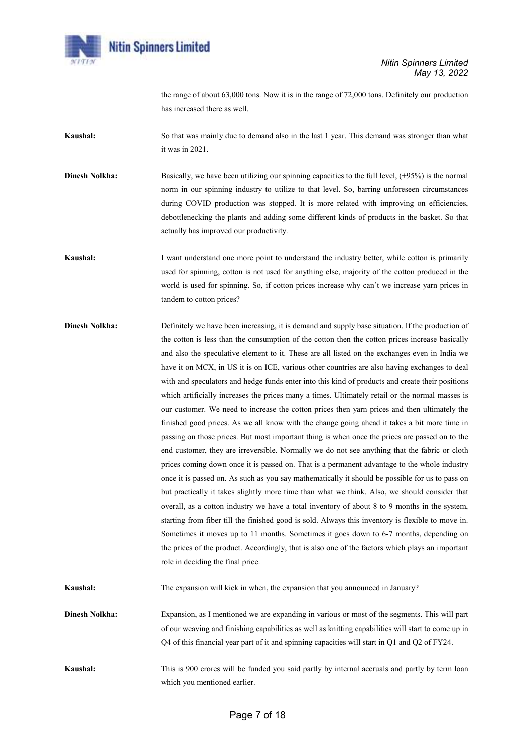

the range of about 63,000 tons. Now it is in the range of 72,000 tons. Definitely our production has increased there as well.

Kaushal: So that was mainly due to demand also in the last 1 year. This demand was stronger than what it was in 2021.

Dinesh Nolkha: Basically, we have been utilizing our spinning capacities to the full level, (+95%) is the normal norm in our spinning industry to utilize to that level. So, barring unforeseen circumstances during COVID production was stopped. It is more related with improving on efficiencies, debottlenecking the plants and adding some different kinds of products in the basket. So that actually has improved our productivity.

Kaushal: I want understand one more point to understand the industry better, while cotton is primarily used for spinning, cotton is not used for anything else, majority of the cotton produced in the world is used for spinning. So, if cotton prices increase why can't we increase yarn prices in tandem to cotton prices?

**Dinesh Nolkha:** Definitely we have been increasing, it is demand and supply base situation. If the production of the cotton is less than the consumption of the cotton then the cotton prices increase basically and also the speculative element to it. These are all listed on the exchanges even in India we have it on MCX, in US it is on ICE, various other countries are also having exchanges to deal with and speculators and hedge funds enter into this kind of products and create their positions which artificially increases the prices many a times. Ultimately retail or the normal masses is our customer. We need to increase the cotton prices then yarn prices and then ultimately the finished good prices. As we all know with the change going ahead it takes a bit more time in passing on those prices. But most important thing is when once the prices are passed on to the end customer, they are irreversible. Normally we do not see anything that the fabric or cloth prices coming down once it is passed on. That is a permanent advantage to the whole industry once it is passed on. As such as you say mathematically it should be possible for us to pass on but practically it takes slightly more time than what we think. Also, we should consider that overall, as a cotton industry we have a total inventory of about 8 to 9 months in the system, starting from fiber till the finished good is sold. Always this inventory is flexible to move in. Sometimes it moves up to 11 months. Sometimes it goes down to 6-7 months, depending on the prices of the product. Accordingly, that is also one of the factors which plays an important role in deciding the final price.

Kaushal: The expansion will kick in when, the expansion that you announced in January?

Dinesh Nolkha: Expansion, as I mentioned we are expanding in various or most of the segments. This will part of our weaving and finishing capabilities as well as knitting capabilities will start to come up in Q4 of this financial year part of it and spinning capacities will start in Q1 and Q2 of FY24.

Kaushal: This is 900 crores will be funded you said partly by internal accruals and partly by term loan which you mentioned earlier.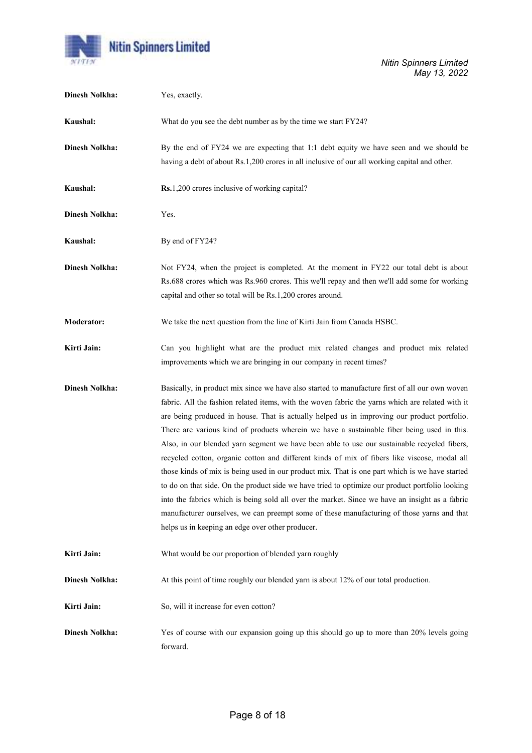

| <b>Dinesh Nolkha:</b> | Yes, exactly.                                                                                                                                                                                                                                                                                                                                                                                                                                                                                                                                                                                                                                                                                                                                                                                                                                                                                                                                                                                                                                           |
|-----------------------|---------------------------------------------------------------------------------------------------------------------------------------------------------------------------------------------------------------------------------------------------------------------------------------------------------------------------------------------------------------------------------------------------------------------------------------------------------------------------------------------------------------------------------------------------------------------------------------------------------------------------------------------------------------------------------------------------------------------------------------------------------------------------------------------------------------------------------------------------------------------------------------------------------------------------------------------------------------------------------------------------------------------------------------------------------|
| Kaushal:              | What do you see the debt number as by the time we start FY24?                                                                                                                                                                                                                                                                                                                                                                                                                                                                                                                                                                                                                                                                                                                                                                                                                                                                                                                                                                                           |
| <b>Dinesh Nolkha:</b> | By the end of FY24 we are expecting that 1:1 debt equity we have seen and we should be<br>having a debt of about Rs.1,200 crores in all inclusive of our all working capital and other.                                                                                                                                                                                                                                                                                                                                                                                                                                                                                                                                                                                                                                                                                                                                                                                                                                                                 |
| Kaushal:              | Rs.1,200 crores inclusive of working capital?                                                                                                                                                                                                                                                                                                                                                                                                                                                                                                                                                                                                                                                                                                                                                                                                                                                                                                                                                                                                           |
| <b>Dinesh Nolkha:</b> | Yes.                                                                                                                                                                                                                                                                                                                                                                                                                                                                                                                                                                                                                                                                                                                                                                                                                                                                                                                                                                                                                                                    |
| Kaushal:              | By end of FY24?                                                                                                                                                                                                                                                                                                                                                                                                                                                                                                                                                                                                                                                                                                                                                                                                                                                                                                                                                                                                                                         |
| <b>Dinesh Nolkha:</b> | Not FY24, when the project is completed. At the moment in FY22 our total debt is about<br>Rs.688 crores which was Rs.960 crores. This we'll repay and then we'll add some for working<br>capital and other so total will be Rs.1,200 crores around.                                                                                                                                                                                                                                                                                                                                                                                                                                                                                                                                                                                                                                                                                                                                                                                                     |
| <b>Moderator:</b>     | We take the next question from the line of Kirti Jain from Canada HSBC.                                                                                                                                                                                                                                                                                                                                                                                                                                                                                                                                                                                                                                                                                                                                                                                                                                                                                                                                                                                 |
| Kirti Jain:           | Can you highlight what are the product mix related changes and product mix related<br>improvements which we are bringing in our company in recent times?                                                                                                                                                                                                                                                                                                                                                                                                                                                                                                                                                                                                                                                                                                                                                                                                                                                                                                |
| <b>Dinesh Nolkha:</b> | Basically, in product mix since we have also started to manufacture first of all our own woven<br>fabric. All the fashion related items, with the woven fabric the yarns which are related with it<br>are being produced in house. That is actually helped us in improving our product portfolio.<br>There are various kind of products wherein we have a sustainable fiber being used in this.<br>Also, in our blended yarn segment we have been able to use our sustainable recycled fibers,<br>recycled cotton, organic cotton and different kinds of mix of fibers like viscose, modal all<br>those kinds of mix is being used in our product mix. That is one part which is we have started<br>to do on that side. On the product side we have tried to optimize our product portfolio looking<br>into the fabrics which is being sold all over the market. Since we have an insight as a fabric<br>manufacturer ourselves, we can preempt some of these manufacturing of those yarns and that<br>helps us in keeping an edge over other producer. |
| Kirti Jain:           | What would be our proportion of blended yarn roughly                                                                                                                                                                                                                                                                                                                                                                                                                                                                                                                                                                                                                                                                                                                                                                                                                                                                                                                                                                                                    |
| <b>Dinesh Nolkha:</b> | At this point of time roughly our blended yarn is about 12% of our total production.                                                                                                                                                                                                                                                                                                                                                                                                                                                                                                                                                                                                                                                                                                                                                                                                                                                                                                                                                                    |
| Kirti Jain:           | So, will it increase for even cotton?                                                                                                                                                                                                                                                                                                                                                                                                                                                                                                                                                                                                                                                                                                                                                                                                                                                                                                                                                                                                                   |
| <b>Dinesh Nolkha:</b> | Yes of course with our expansion going up this should go up to more than 20% levels going<br>forward.                                                                                                                                                                                                                                                                                                                                                                                                                                                                                                                                                                                                                                                                                                                                                                                                                                                                                                                                                   |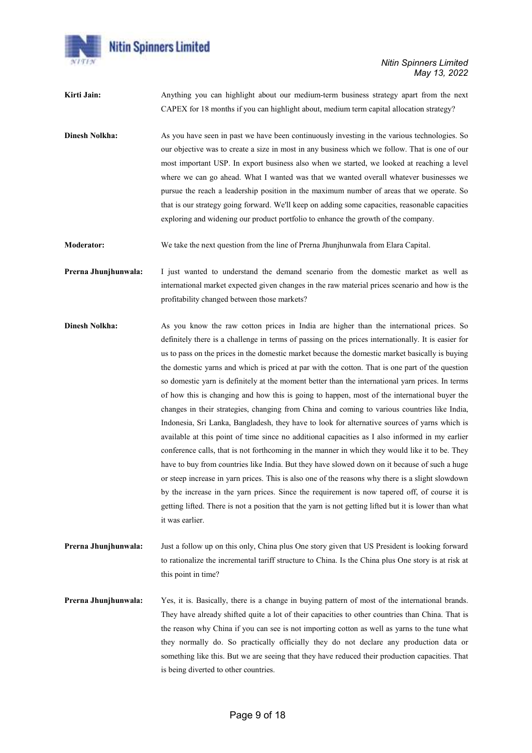

Kirti Jain: Anything you can highlight about our medium-term business strategy apart from the next CAPEX for 18 months if you can highlight about, medium term capital allocation strategy?

**Dinesh Nolkha:** As you have seen in past we have been continuously investing in the various technologies. So our objective was to create a size in most in any business which we follow. That is one of our most important USP. In export business also when we started, we looked at reaching a level where we can go ahead. What I wanted was that we wanted overall whatever businesses we pursue the reach a leadership position in the maximum number of areas that we operate. So that is our strategy going forward. We'll keep on adding some capacities, reasonable capacities exploring and widening our product portfolio to enhance the growth of the company.

Moderator: We take the next question from the line of Prerna Jhunjhunwala from Elara Capital.

Prerna Jhunjhunwala: I just wanted to understand the demand scenario from the domestic market as well as international market expected given changes in the raw material prices scenario and how is the profitability changed between those markets?

- Dinesh Nolkha: As you know the raw cotton prices in India are higher than the international prices. So definitely there is a challenge in terms of passing on the prices internationally. It is easier for us to pass on the prices in the domestic market because the domestic market basically is buying the domestic yarns and which is priced at par with the cotton. That is one part of the question so domestic yarn is definitely at the moment better than the international yarn prices. In terms of how this is changing and how this is going to happen, most of the international buyer the changes in their strategies, changing from China and coming to various countries like India, Indonesia, Sri Lanka, Bangladesh, they have to look for alternative sources of yarns which is available at this point of time since no additional capacities as I also informed in my earlier conference calls, that is not forthcoming in the manner in which they would like it to be. They have to buy from countries like India. But they have slowed down on it because of such a huge or steep increase in yarn prices. This is also one of the reasons why there is a slight slowdown by the increase in the yarn prices. Since the requirement is now tapered off, of course it is getting lifted. There is not a position that the yarn is not getting lifted but it is lower than what it was earlier.
- Prerna Jhunjhunwala: Just a follow up on this only, China plus One story given that US President is looking forward to rationalize the incremental tariff structure to China. Is the China plus One story is at risk at this point in time?
- Prerna Jhunjhunwala: Yes, it is. Basically, there is a change in buying pattern of most of the international brands. They have already shifted quite a lot of their capacities to other countries than China. That is the reason why China if you can see is not importing cotton as well as yarns to the tune what they normally do. So practically officially they do not declare any production data or something like this. But we are seeing that they have reduced their production capacities. That is being diverted to other countries.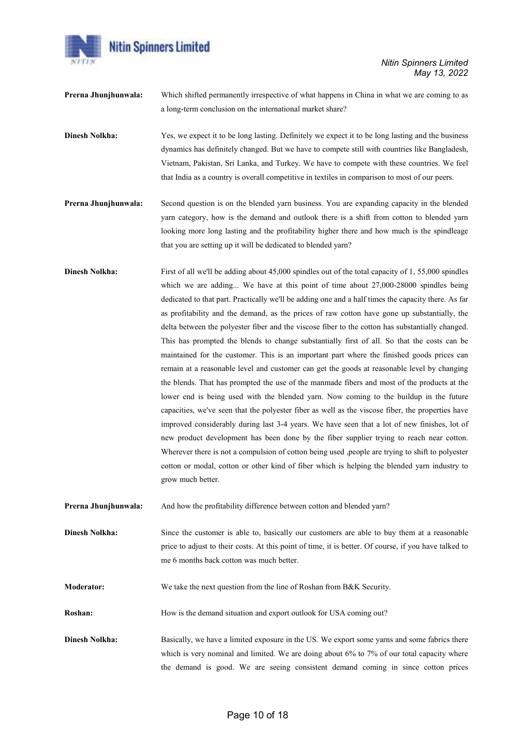

Nitin Spinners Limited May 13, 2022

| Prerna Jhunjhunwala:  | Which shifted permanently irrespective of what happens in China in what we are coming to as           |
|-----------------------|-------------------------------------------------------------------------------------------------------|
|                       | a long-term conclusion on the international market share?                                             |
|                       |                                                                                                       |
| <b>Dinesh Nolkha:</b> | Yes, we expect it to be long lasting. Definitely we expect it to be long lasting and the business     |
|                       | dynamics has definitely changed. But we have to compete still with countries like Bangladesh,         |
|                       | Vietnam, Pakistan, Sri Lanka, and Turkey. We have to compete with these countries. We feel            |
|                       | that India as a country is overall competitive in textiles in comparison to most of our peers.        |
|                       |                                                                                                       |
| Prerna Jhunjhunwala:  | Second question is on the blended yarn business. You are expanding capacity in the blended            |
|                       | yarn category, how is the demand and outlook there is a shift from cotton to blended yarn             |
|                       | looking more long lasting and the profitability higher there and how much is the spindleage           |
|                       |                                                                                                       |
|                       | that you are setting up it will be dedicated to blended yarn?                                         |
| <b>Dinesh Nolkha:</b> | First of all we'll be adding about 45,000 spindles out of the total capacity of 1, 55,000 spindles    |
|                       | which we are adding We have at this point of time about 27,000-28000 spindles being                   |
|                       |                                                                                                       |
|                       | dedicated to that part. Practically we'll be adding one and a half times the capacity there. As far   |
|                       | as profitability and the demand, as the prices of raw cotton have gone up substantially, the          |
|                       | delta between the polyester fiber and the viscose fiber to the cotton has substantially changed.      |
|                       | This has prompted the blends to change substantially first of all. So that the costs can be           |
|                       | maintained for the customer. This is an important part where the finished goods prices can            |
|                       | remain at a reasonable level and customer can get the goods at reasonable level by changing           |
|                       | the blends. That has prompted the use of the manmade fibers and most of the products at the           |
|                       | lower end is being used with the blended yarn. Now coming to the buildup in the future                |
|                       | capacities, we've seen that the polyester fiber as well as the viscose fiber, the properties have     |
|                       | improved considerably during last 3-4 years. We have seen that a lot of new finishes, lot of          |
|                       |                                                                                                       |
|                       | new product development has been done by the fiber supplier trying to reach near cotton.              |
|                       | Wherever there is not a compulsion of cotton being used , people are trying to shift to polyester     |
|                       | cotton or modal, cotton or other kind of fiber which is helping the blended yarn industry to          |
|                       | grow much better.                                                                                     |
| Prerna Jhunjhunwala:  | And how the profitability difference between cotton and blended yarn?                                 |
|                       |                                                                                                       |
| <b>Dinesh Nolkha:</b> | Since the customer is able to, basically our customers are able to buy them at a reasonable           |
|                       | price to adjust to their costs. At this point of time, it is better. Of course, if you have talked to |
|                       | me 6 months back cotton was much better.                                                              |
| <b>Moderator:</b>     | We take the next question from the line of Roshan from B&K Security.                                  |
|                       |                                                                                                       |
| Roshan:               | How is the demand situation and export outlook for USA coming out?                                    |
|                       |                                                                                                       |

Dinesh Nolkha: Basically, we have a limited exposure in the US. We export some yarns and some fabrics there which is very nominal and limited. We are doing about 6% to 7% of our total capacity where the demand is good. We are seeing consistent demand coming in since cotton prices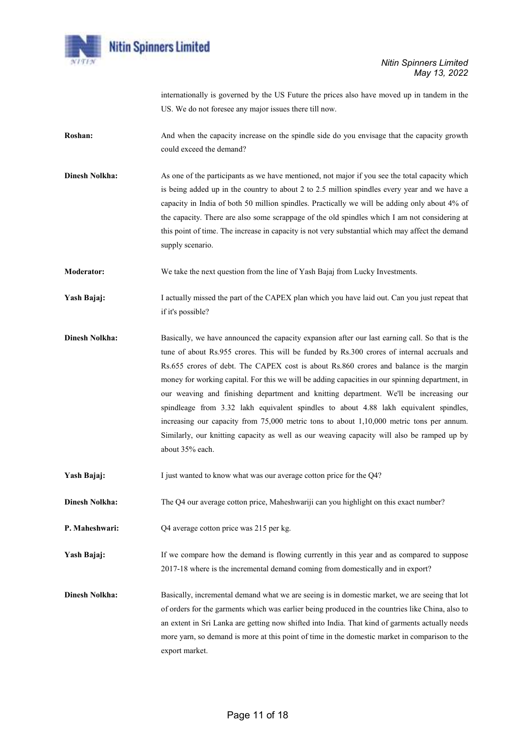

internationally is governed by the US Future the prices also have moved up in tandem in the US. We do not foresee any major issues there till now.

- Roshan: And when the capacity increase on the spindle side do you envisage that the capacity growth could exceed the demand?
- **Dinesh Nolkha:** As one of the participants as we have mentioned, not major if you see the total capacity which is being added up in the country to about 2 to 2.5 million spindles every year and we have a capacity in India of both 50 million spindles. Practically we will be adding only about 4% of the capacity. There are also some scrappage of the old spindles which I am not considering at this point of time. The increase in capacity is not very substantial which may affect the demand supply scenario.

Moderator: We take the next question from the line of Yash Bajaj from Lucky Investments.

Yash Bajaj: I actually missed the part of the CAPEX plan which you have laid out. Can you just repeat that if it's possible?

- Dinesh Nolkha: Basically, we have announced the capacity expansion after our last earning call. So that is the tune of about Rs.955 crores. This will be funded by Rs.300 crores of internal accruals and Rs.655 crores of debt. The CAPEX cost is about Rs.860 crores and balance is the margin money for working capital. For this we will be adding capacities in our spinning department, in our weaving and finishing department and knitting department. We'll be increasing our spindleage from 3.32 lakh equivalent spindles to about 4.88 lakh equivalent spindles, increasing our capacity from 75,000 metric tons to about 1,10,000 metric tons per annum. Similarly, our knitting capacity as well as our weaving capacity will also be ramped up by about 35% each.
- Yash Bajaj: I just wanted to know what was our average cotton price for the Q4?
- Dinesh Nolkha: The Q4 our average cotton price, Maheshwariji can you highlight on this exact number?
- P. Maheshwari: Q4 average cotton price was 215 per kg.

Yash Bajaj: If we compare how the demand is flowing currently in this year and as compared to suppose 2017-18 where is the incremental demand coming from domestically and in export?

Dinesh Nolkha: Basically, incremental demand what we are seeing is in domestic market, we are seeing that lot of orders for the garments which was earlier being produced in the countries like China, also to an extent in Sri Lanka are getting now shifted into India. That kind of garments actually needs more yarn, so demand is more at this point of time in the domestic market in comparison to the export market.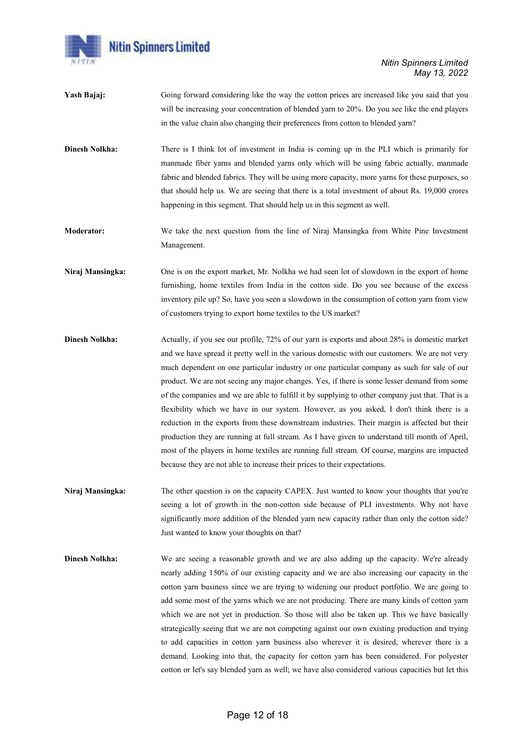

- Yash Bajaj: Going forward considering like the way the cotton prices are increased like you said that you will be increasing your concentration of blended yarn to 20%. Do you see like the end players in the value chain also changing their preferences from cotton to blended yarn?
- Dinesh Nolkha: There is I think lot of investment in India is coming up in the PLI which is primarily for manmade fiber yarns and blended yarns only which will be using fabric actually, manmade fabric and blended fabrics. They will be using more capacity, more yarns for these purposes, so that should help us. We are seeing that there is a total investment of about Rs. 19,000 crores happening in this segment. That should help us in this segment as well.
- Moderator: We take the next question from the line of Niraj Mansingka from White Pine Investment Management.
- Niraj Mansingka: One is on the export market, Mr. Nolkha we had seen lot of slowdown in the export of home furnishing, home textiles from India in the cotton side. Do you see because of the excess inventory pile up? So, have you seen a slowdown in the consumption of cotton yarn from view of customers trying to export home textiles to the US market?
- Dinesh Nolkha: Actually, if you see our profile, 72% of our yarn is exports and about 28% is domestic market and we have spread it pretty well in the various domestic with our customers. We are not very much dependent on one particular industry or one particular company as such for sale of our product. We are not seeing any major changes. Yes, if there is some lesser demand from some of the companies and we are able to fulfill it by supplying to other company just that. That is a flexibility which we have in our system. However, as you asked, I don't think there is a reduction in the exports from these downstream industries. Their margin is affected but their production they are running at full stream. As I have given to understand till month of April, most of the players in home textiles are running full stream. Of course, margins are impacted because they are not able to increase their prices to their expectations.
- Niraj Mansingka: The other question is on the capacity CAPEX. Just wanted to know your thoughts that you're seeing a lot of growth in the non-cotton side because of PLI investments. Why not have significantly more addition of the blended yarn new capacity rather than only the cotton side? Just wanted to know your thoughts on that?
- Dinesh Nolkha: We are seeing a reasonable growth and we are also adding up the capacity. We're already nearly adding 150% of our existing capacity and we are also increasing our capacity in the cotton yarn business since we are trying to widening our product portfolio. We are going to add some most of the yarns which we are not producing. There are many kinds of cotton yarn which we are not yet in production. So those will also be taken up. This we have basically strategically seeing that we are not competing against our own existing production and trying to add capacities in cotton yarn business also wherever it is desired, wherever there is a demand. Looking into that, the capacity for cotton yarn has been considered. For polyester cotton or let's say blended yarn as well; we have also considered various capacities but let this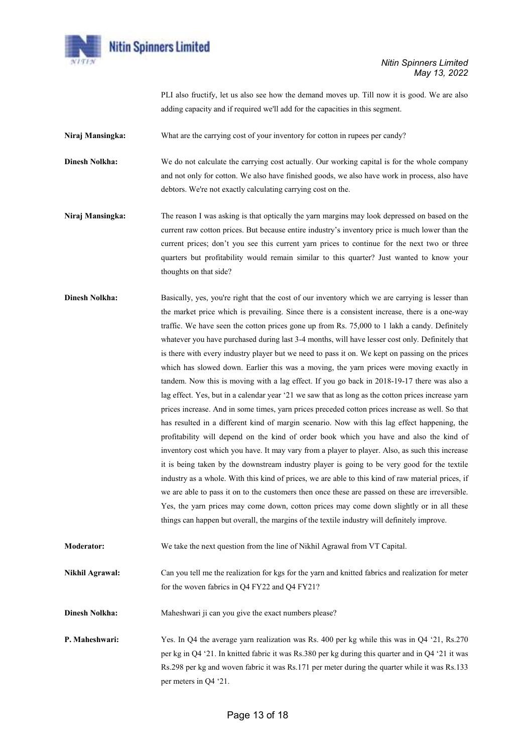

PLI also fructify, let us also see how the demand moves up. Till now it is good. We are also adding capacity and if required we'll add for the capacities in this segment.

Niraj Mansingka: What are the carrying cost of your inventory for cotton in rupees per candy?

Dinesh Nolkha: We do not calculate the carrying cost actually. Our working capital is for the whole company and not only for cotton. We also have finished goods, we also have work in process, also have debtors. We're not exactly calculating carrying cost on the.

- Niraj Mansingka: The reason I was asking is that optically the yarn margins may look depressed on based on the current raw cotton prices. But because entire industry's inventory price is much lower than the current prices; don't you see this current yarn prices to continue for the next two or three quarters but profitability would remain similar to this quarter? Just wanted to know your thoughts on that side?
- Dinesh Nolkha: Basically, yes, you're right that the cost of our inventory which we are carrying is lesser than the market price which is prevailing. Since there is a consistent increase, there is a one-way traffic. We have seen the cotton prices gone up from Rs. 75,000 to 1 lakh a candy. Definitely whatever you have purchased during last 3-4 months, will have lesser cost only. Definitely that is there with every industry player but we need to pass it on. We kept on passing on the prices which has slowed down. Earlier this was a moving, the yarn prices were moving exactly in tandem. Now this is moving with a lag effect. If you go back in 2018-19-17 there was also a lag effect. Yes, but in a calendar year '21 we saw that as long as the cotton prices increase yarn prices increase. And in some times, yarn prices preceded cotton prices increase as well. So that has resulted in a different kind of margin scenario. Now with this lag effect happening, the profitability will depend on the kind of order book which you have and also the kind of inventory cost which you have. It may vary from a player to player. Also, as such this increase it is being taken by the downstream industry player is going to be very good for the textile industry as a whole. With this kind of prices, we are able to this kind of raw material prices, if we are able to pass it on to the customers then once these are passed on these are irreversible. Yes, the yarn prices may come down, cotton prices may come down slightly or in all these things can happen but overall, the margins of the textile industry will definitely improve.
- Moderator: We take the next question from the line of Nikhil Agrawal from VT Capital.
- Nikhil Agrawal: Can you tell me the realization for kgs for the yarn and knitted fabrics and realization for meter for the woven fabrics in Q4 FY22 and Q4 FY21?
- **Dinesh Nolkha:** Maheshwari ji can you give the exact numbers please?
- P. Maheshwari: Yes. In Q4 the average yarn realization was Rs. 400 per kg while this was in Q4 '21, Rs.270 per kg in Q4 '21. In knitted fabric it was Rs.380 per kg during this quarter and in Q4 '21 it was Rs.298 per kg and woven fabric it was Rs.171 per meter during the quarter while it was Rs.133 per meters in Q4 '21.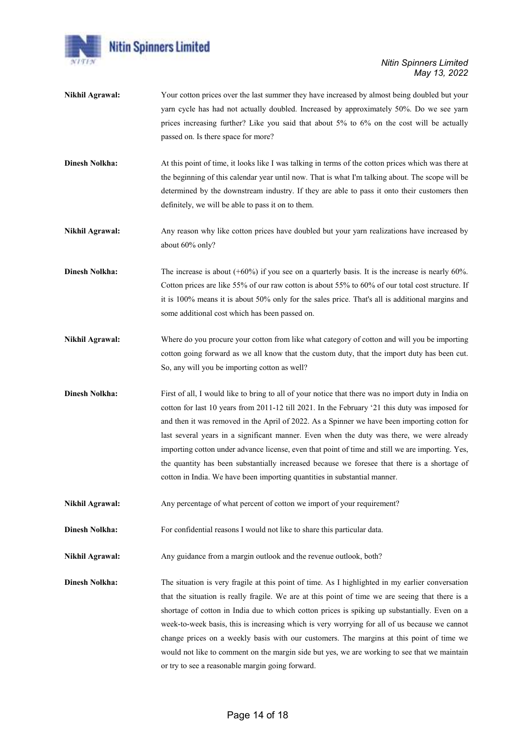

- Nikhil Agrawal: Your cotton prices over the last summer they have increased by almost being doubled but your yarn cycle has had not actually doubled. Increased by approximately 50%. Do we see yarn prices increasing further? Like you said that about 5% to 6% on the cost will be actually passed on. Is there space for more?
- Dinesh Nolkha: At this point of time, it looks like I was talking in terms of the cotton prices which was there at the beginning of this calendar year until now. That is what I'm talking about. The scope will be determined by the downstream industry. If they are able to pass it onto their customers then definitely, we will be able to pass it on to them.
- Nikhil Agrawal: Any reason why like cotton prices have doubled but your yarn realizations have increased by about 60% only?
- Dinesh Nolkha: The increase is about (+60%) if you see on a quarterly basis. It is the increase is nearly 60%. Cotton prices are like 55% of our raw cotton is about 55% to 60% of our total cost structure. If it is 100% means it is about 50% only for the sales price. That's all is additional margins and some additional cost which has been passed on.
- Nikhil Agrawal: Where do you procure your cotton from like what category of cotton and will you be importing cotton going forward as we all know that the custom duty, that the import duty has been cut. So, any will you be importing cotton as well?
- Dinesh Nolkha: First of all, I would like to bring to all of your notice that there was no import duty in India on cotton for last 10 years from 2011-12 till 2021. In the February '21 this duty was imposed for and then it was removed in the April of 2022. As a Spinner we have been importing cotton for last several years in a significant manner. Even when the duty was there, we were already importing cotton under advance license, even that point of time and still we are importing. Yes, the quantity has been substantially increased because we foresee that there is a shortage of cotton in India. We have been importing quantities in substantial manner.
- Nikhil Agrawal: Any percentage of what percent of cotton we import of your requirement?
- **Dinesh Nolkha:** For confidential reasons I would not like to share this particular data.
- Nikhil Agrawal: Any guidance from a margin outlook and the revenue outlook, both?
- Dinesh Nolkha: The situation is very fragile at this point of time. As I highlighted in my earlier conversation that the situation is really fragile. We are at this point of time we are seeing that there is a shortage of cotton in India due to which cotton prices is spiking up substantially. Even on a week-to-week basis, this is increasing which is very worrying for all of us because we cannot change prices on a weekly basis with our customers. The margins at this point of time we would not like to comment on the margin side but yes, we are working to see that we maintain or try to see a reasonable margin going forward.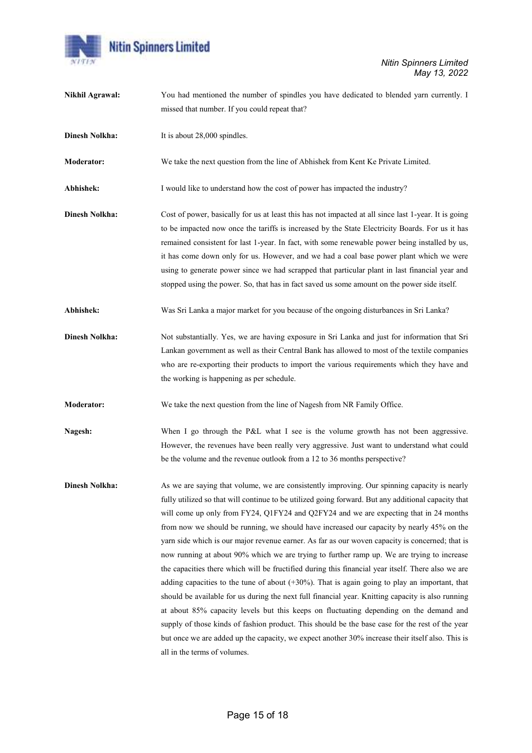

| Nikhil Agrawal:       | You had mentioned the number of spindles you have dedicated to blended yarn currently. I<br>missed that number. If you could repeat that?                                                                                                                                                                                                                                                                                                                                                                                                                                                                                                                                                                                                                                                                                                                                                                                                                                                                                                                                                                                                                                                                                                   |
|-----------------------|---------------------------------------------------------------------------------------------------------------------------------------------------------------------------------------------------------------------------------------------------------------------------------------------------------------------------------------------------------------------------------------------------------------------------------------------------------------------------------------------------------------------------------------------------------------------------------------------------------------------------------------------------------------------------------------------------------------------------------------------------------------------------------------------------------------------------------------------------------------------------------------------------------------------------------------------------------------------------------------------------------------------------------------------------------------------------------------------------------------------------------------------------------------------------------------------------------------------------------------------|
| <b>Dinesh Nolkha:</b> | It is about 28,000 spindles.                                                                                                                                                                                                                                                                                                                                                                                                                                                                                                                                                                                                                                                                                                                                                                                                                                                                                                                                                                                                                                                                                                                                                                                                                |
| <b>Moderator:</b>     | We take the next question from the line of Abhishek from Kent Ke Private Limited.                                                                                                                                                                                                                                                                                                                                                                                                                                                                                                                                                                                                                                                                                                                                                                                                                                                                                                                                                                                                                                                                                                                                                           |
| Abhishek:             | I would like to understand how the cost of power has impacted the industry?                                                                                                                                                                                                                                                                                                                                                                                                                                                                                                                                                                                                                                                                                                                                                                                                                                                                                                                                                                                                                                                                                                                                                                 |
| <b>Dinesh Nolkha:</b> | Cost of power, basically for us at least this has not impacted at all since last 1-year. It is going<br>to be impacted now once the tariffs is increased by the State Electricity Boards. For us it has<br>remained consistent for last 1-year. In fact, with some renewable power being installed by us,<br>it has come down only for us. However, and we had a coal base power plant which we were<br>using to generate power since we had scrapped that particular plant in last financial year and<br>stopped using the power. So, that has in fact saved us some amount on the power side itself.                                                                                                                                                                                                                                                                                                                                                                                                                                                                                                                                                                                                                                      |
| Abhishek:             | Was Sri Lanka a major market for you because of the ongoing disturbances in Sri Lanka?                                                                                                                                                                                                                                                                                                                                                                                                                                                                                                                                                                                                                                                                                                                                                                                                                                                                                                                                                                                                                                                                                                                                                      |
| <b>Dinesh Nolkha:</b> | Not substantially. Yes, we are having exposure in Sri Lanka and just for information that Sri<br>Lankan government as well as their Central Bank has allowed to most of the textile companies<br>who are re-exporting their products to import the various requirements which they have and<br>the working is happening as per schedule.                                                                                                                                                                                                                                                                                                                                                                                                                                                                                                                                                                                                                                                                                                                                                                                                                                                                                                    |
| <b>Moderator:</b>     | We take the next question from the line of Nagesh from NR Family Office.                                                                                                                                                                                                                                                                                                                                                                                                                                                                                                                                                                                                                                                                                                                                                                                                                                                                                                                                                                                                                                                                                                                                                                    |
| Nagesh:               | When I go through the P&L what I see is the volume growth has not been aggressive.<br>However, the revenues have been really very aggressive. Just want to understand what could<br>be the volume and the revenue outlook from a 12 to 36 months perspective?                                                                                                                                                                                                                                                                                                                                                                                                                                                                                                                                                                                                                                                                                                                                                                                                                                                                                                                                                                               |
| <b>Dinesh Nolkha:</b> | As we are saying that volume, we are consistently improving. Our spinning capacity is nearly<br>fully utilized so that will continue to be utilized going forward. But any additional capacity that<br>will come up only from FY24, Q1FY24 and Q2FY24 and we are expecting that in 24 months<br>from now we should be running, we should have increased our capacity by nearly 45% on the<br>yarn side which is our major revenue earner. As far as our woven capacity is concerned; that is<br>now running at about 90% which we are trying to further ramp up. We are trying to increase<br>the capacities there which will be fructified during this financial year itself. There also we are<br>adding capacities to the tune of about $(+30\%)$ . That is again going to play an important, that<br>should be available for us during the next full financial year. Knitting capacity is also running<br>at about 85% capacity levels but this keeps on fluctuating depending on the demand and<br>supply of those kinds of fashion product. This should be the base case for the rest of the year<br>but once we are added up the capacity, we expect another 30% increase their itself also. This is<br>all in the terms of volumes. |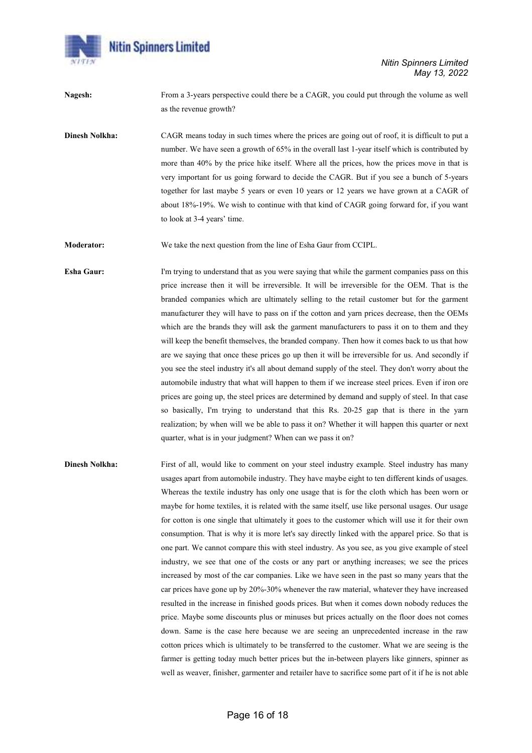

Nitin Spinners Limited May 13, 2022

Nagesh: From a 3-years perspective could there be a CAGR, you could put through the volume as well as the revenue growth?

Dinesh Nolkha: CAGR means today in such times where the prices are going out of roof, it is difficult to put a number. We have seen a growth of 65% in the overall last 1-year itself which is contributed by more than 40% by the price hike itself. Where all the prices, how the prices move in that is very important for us going forward to decide the CAGR. But if you see a bunch of 5-years together for last maybe 5 years or even 10 years or 12 years we have grown at a CAGR of about 18%-19%. We wish to continue with that kind of CAGR going forward for, if you want to look at 3-4 years' time.

Moderator: We take the next question from the line of Esha Gaur from CCIPL.

**Esha Gaur:** I'm trying to understand that as you were saying that while the garment companies pass on this price increase then it will be irreversible. It will be irreversible for the OEM. That is the branded companies which are ultimately selling to the retail customer but for the garment manufacturer they will have to pass on if the cotton and yarn prices decrease, then the OEMs which are the brands they will ask the garment manufacturers to pass it on to them and they will keep the benefit themselves, the branded company. Then how it comes back to us that how are we saying that once these prices go up then it will be irreversible for us. And secondly if you see the steel industry it's all about demand supply of the steel. They don't worry about the automobile industry that what will happen to them if we increase steel prices. Even if iron ore prices are going up, the steel prices are determined by demand and supply of steel. In that case so basically, I'm trying to understand that this Rs. 20-25 gap that is there in the yarn realization; by when will we be able to pass it on? Whether it will happen this quarter or next quarter, what is in your judgment? When can we pass it on?

Dinesh Nolkha: First of all, would like to comment on your steel industry example. Steel industry has many usages apart from automobile industry. They have maybe eight to ten different kinds of usages. Whereas the textile industry has only one usage that is for the cloth which has been worn or maybe for home textiles, it is related with the same itself, use like personal usages. Our usage for cotton is one single that ultimately it goes to the customer which will use it for their own consumption. That is why it is more let's say directly linked with the apparel price. So that is one part. We cannot compare this with steel industry. As you see, as you give example of steel industry, we see that one of the costs or any part or anything increases; we see the prices increased by most of the car companies. Like we have seen in the past so many years that the car prices have gone up by 20%-30% whenever the raw material, whatever they have increased resulted in the increase in finished goods prices. But when it comes down nobody reduces the price. Maybe some discounts plus or minuses but prices actually on the floor does not comes down. Same is the case here because we are seeing an unprecedented increase in the raw cotton prices which is ultimately to be transferred to the customer. What we are seeing is the farmer is getting today much better prices but the in-between players like ginners, spinner as well as weaver, finisher, garmenter and retailer have to sacrifice some part of it if he is not able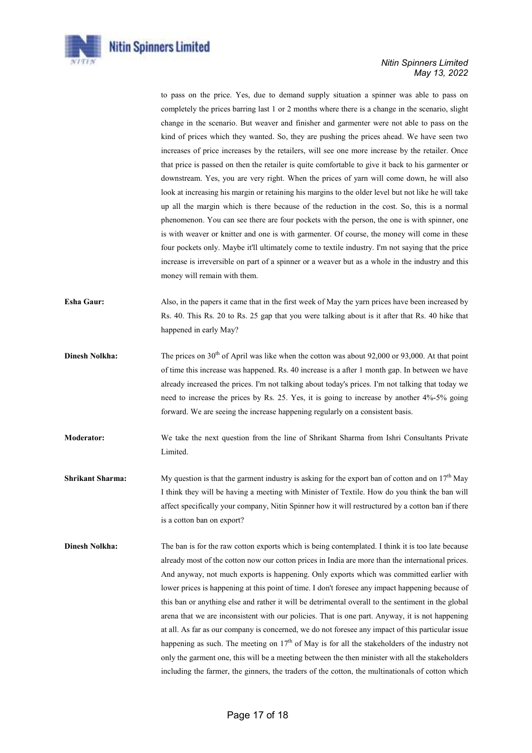

## Nitin Spinners Limited May 13, 2022

to pass on the price. Yes, due to demand supply situation a spinner was able to pass on completely the prices barring last 1 or 2 months where there is a change in the scenario, slight change in the scenario. But weaver and finisher and garmenter were not able to pass on the kind of prices which they wanted. So, they are pushing the prices ahead. We have seen two increases of price increases by the retailers, will see one more increase by the retailer. Once that price is passed on then the retailer is quite comfortable to give it back to his garmenter or downstream. Yes, you are very right. When the prices of yarn will come down, he will also look at increasing his margin or retaining his margins to the older level but not like he will take up all the margin which is there because of the reduction in the cost. So, this is a normal phenomenon. You can see there are four pockets with the person, the one is with spinner, one is with weaver or knitter and one is with garmenter. Of course, the money will come in these four pockets only. Maybe it'll ultimately come to textile industry. I'm not saying that the price increase is irreversible on part of a spinner or a weaver but as a whole in the industry and this money will remain with them.

- Esha Gaur: Also, in the papers it came that in the first week of May the yarn prices have been increased by Rs. 40. This Rs. 20 to Rs. 25 gap that you were talking about is it after that Rs. 40 hike that happened in early May?
- Dinesh Nolkha: The prices on 30<sup>th</sup> of April was like when the cotton was about 92,000 or 93,000. At that point of time this increase was happened. Rs. 40 increase is a after 1 month gap. In between we have already increased the prices. I'm not talking about today's prices. I'm not talking that today we need to increase the prices by Rs. 25. Yes, it is going to increase by another 4%-5% going forward. We are seeing the increase happening regularly on a consistent basis.
- Moderator: We take the next question from the line of Shrikant Sharma from Ishri Consultants Private Limited.
- **Shrikant Sharma:** My question is that the garment industry is asking for the export ban of cotton and on  $17<sup>th</sup>$  May I think they will be having a meeting with Minister of Textile. How do you think the ban will affect specifically your company, Nitin Spinner how it will restructured by a cotton ban if there is a cotton ban on export?
- Dinesh Nolkha: The ban is for the raw cotton exports which is being contemplated. I think it is too late because already most of the cotton now our cotton prices in India are more than the international prices. And anyway, not much exports is happening. Only exports which was committed earlier with lower prices is happening at this point of time. I don't foresee any impact happening because of this ban or anything else and rather it will be detrimental overall to the sentiment in the global arena that we are inconsistent with our policies. That is one part. Anyway, it is not happening at all. As far as our company is concerned, we do not foresee any impact of this particular issue happening as such. The meeting on  $17<sup>th</sup>$  of May is for all the stakeholders of the industry not only the garment one, this will be a meeting between the then minister with all the stakeholders including the farmer, the ginners, the traders of the cotton, the multinationals of cotton which